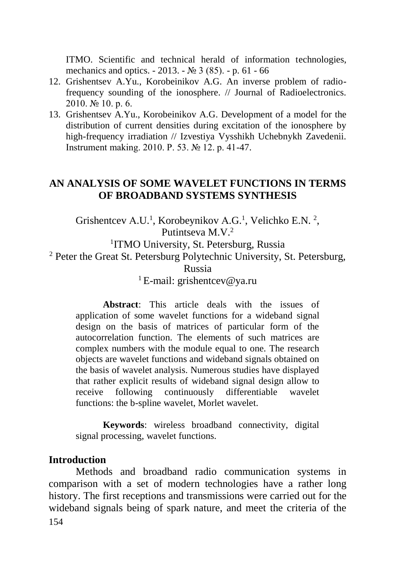ITMO. Scientific and technical herald of information technologies, mechanics and optics. - 2013. - № 3 (85). - p. 61 - 66

- 12. Grishentsev A.Yu., Korobeinikov A.G. An inverse problem of radiofrequency sounding of the ionosphere. // Journal of Radioelectronics. 2010. № 10. p. 6.
- 13. Grishentsev A.Yu., Korobeinikov A.G. Development of a model for the distribution of current densities during excitation of the ionosphere by high-frequency irradiation // Izvestiya Vysshikh Uchebnykh Zavedenii. Instrument making. 2010. P. 53. № 12. p. 41-47.

# **AN ANALYSIS OF SOME WAVELET FUNCTIONS IN TERMS OF BROADBAND SYSTEMS SYNTHESIS**

Grishentcev A.U.<sup>1</sup>, Korobeynikov A.G.<sup>1</sup>, Velichko E.N.<sup>2</sup>, Putintseva M.V.<sup>2</sup> <sup>1</sup>ITMO University, St. Petersburg, Russia <sup>2</sup> Peter the Great St. Petersburg Polytechnic University, St. Petersburg, Russia

<sup>1</sup>E-mail: grishentcey@ya.ru

**Abstract**: This article deals with the issues of application of some wavelet functions for a wideband signal design on the basis of matrices of particular form of the autocorrelation function. The elements of such matrices are complex numbers with the module equal to one. The research objects are wavelet functions and wideband signals obtained on the basis of wavelet analysis. Numerous studies have displayed that rather explicit results of wideband signal design allow to receive following continuously differentiable wavelet functions: the b-spline wavelet, Morlet wavelet.

**Keywords**: wireless broadband connectivity, digital signal processing, wavelet functions.

# **Introduction**

154 Methods and broadband radio communication systems in comparison with a set of modern technologies have a rather long history. The first receptions and transmissions were carried out for the wideband signals being of spark nature, and meet the criteria of the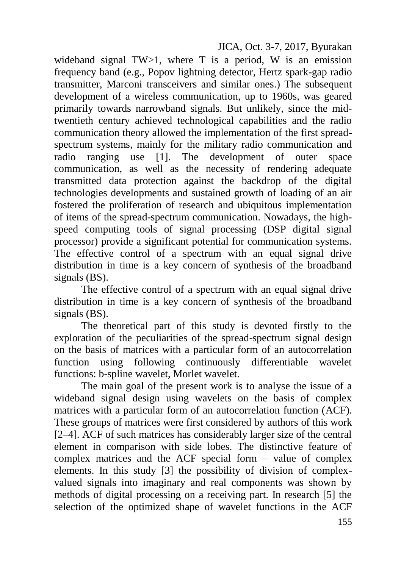JICA, Oct. 3-7, 2017, Byurakan

wideband signal  $TW>1$ , where T is a period, W is an emission frequency band (e.g., Popov lightning detector, Hertz spark-gap radio transmitter, Marconi transceivers and similar ones.) The subsequent development of a wireless communication, up to 1960s, was geared primarily towards narrowband signals. But unlikely, since the midtwentieth century achieved technological capabilities and the radio communication theory allowed the implementation of the first spreadspectrum systems, mainly for the military radio communication and radio ranging use [1]. The development of outer space communication, as well as the necessity of rendering adequate transmitted data protection against the backdrop of the digital technologies developments and sustained growth of loading of an air fostered the proliferation of research and ubiquitous implementation of items of the spread-spectrum communication. Nowadays, the highspeed computing tools of signal processing (DSP digital signal processor) provide a significant potential for communication systems. The effective control of a spectrum with an equal signal drive distribution in time is a key concern of synthesis of the broadband signals (BS).

The effective control of a spectrum with an equal signal drive distribution in time is a key concern of synthesis of the broadband signals (BS).

The theoretical part of this study is devoted firstly to the exploration of the peculiarities of the spread-spectrum signal design on the basis of matrices with a particular form of an autocorrelation function using following continuously differentiable wavelet functions: b-spline wavelet, Morlet wavelet.

The main goal of the present work is to analyse the issue of a wideband signal design using wavelets on the basis of complex matrices with a particular form of an autocorrelation function (ACF). These groups of matrices were first considered by authors of this work [2–4]. ACF of such matrices has considerably larger size of the central element in comparison with side lobes. The distinctive feature of complex matrices and the ACF special form – value of complex elements. In this study [3] the possibility of division of complexvalued signals into imaginary and real components was shown by methods of digital processing on a receiving part. In research [5] the selection of the optimized shape of wavelet functions in the ACF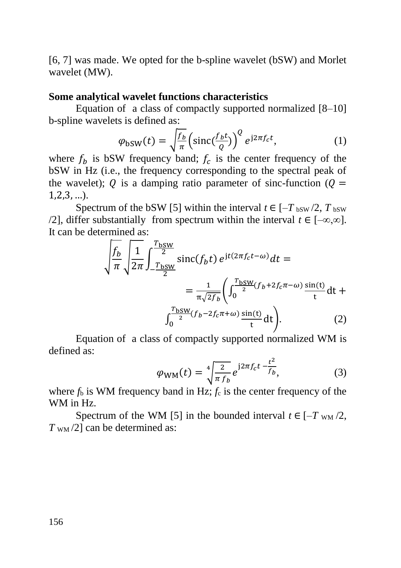[6, 7] was made. We opted for the b-spline wavelet (bSW) and Morlet wavelet (MW).

#### **Some analytical wavelet functions characteristics**

Equation of a class of compactly supported normalized [8–10] b-spline wavelets is defined as:

$$
\varphi_{\text{bSW}}(t) = \sqrt{\frac{f_b}{\pi}} \left( \text{sinc}\left(\frac{f_b t}{Q}\right) \right)^Q e^{j2\pi f_c t},\tag{1}
$$

where  $f_b$  is bSW frequency band;  $f_c$  is the center frequency of the bSW in Hz (i.e., the frequency corresponding to the spectral peak of the wavelet); O is a damping ratio parameter of sinc-function ( $\theta =$ 1,2,3, …).

Spectrum of the bSW [5] within the interval  $t \in [-T_{\text{bSW}}/2, T_{\text{bSW}}]$ /2], differ substantially from spectrum within the interval  $t \in [-\infty, \infty]$ . It can be determined as:

$$
\sqrt{\frac{f_b}{\pi}} \sqrt{\frac{1}{2\pi}} \int_{-\frac{T_{\text{bSW}}}{2}}^{\frac{T_{\text{bSW}}}{2}} \text{sinc}(f_b t) e^{jt(2\pi f_c t - \omega)} dt =
$$
\n
$$
= \frac{1}{\pi \sqrt{2f_b}} \left( \int_0^{\frac{T_{\text{bSW}}}{2}} (f_b + 2f_c \pi - \omega) \frac{\sin(t)}{t} dt + \int_0^{\frac{T_{\text{bSW}}}{2}} (f_b - 2f_c \pi + \omega) \frac{\sin(t)}{t} dt \right). \tag{2}
$$

Equation of a class of compactly supported normalized WM is defined as:

$$
\varphi_{\rm WM}(t) = \sqrt[4]{\frac{2}{\pi f_b}} e^{j2\pi f_c t - \frac{t^2}{f_b}},\tag{3}
$$

where  $f<sub>b</sub>$  is WM frequency band in Hz;  $f<sub>c</sub>$  is the center frequency of the WM in Hz.

Spectrum of the WM [5] in the bounded interval  $t \in [-T_{WM}/2]$ ,  $T_{\text{WM}}/2$  can be determined as: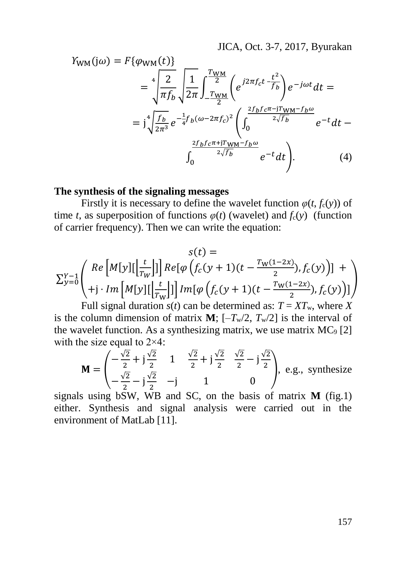JICA, Oct. 3-7, 2017, Byurakan

$$
Y_{WM}(j\omega) = F\{\varphi_{WM}(t)\}\n= \sqrt[4]{\frac{2}{\pi f_b}} \sqrt{\frac{1}{2\pi}} \int_{-\frac{T_{WM}}{2}}^{\frac{T_{WM}}{2}} \left(e^{j2\pi f_c t - \frac{t^2}{f_b}}\right) e^{-j\omega t} dt =\n= \sqrt[4]{\frac{f_b}{2\pi^3}} e^{-\frac{1}{4} f_b(\omega - 2\pi f_c)^2} \left(\int_0^{\frac{2f_b f_c \pi - jT_{WM} - f_b \omega}{2\sqrt{f_b}}} e^{-t} dt - \int_0^{\frac{2f_b f_c \pi + jT_{WM} - f_b \omega}{2\sqrt{f_b}}} e^{-t} dt\right).
$$
\n(4)

### **The synthesis of the signaling messages**

Firstly it is necessary to define the wavelet function  $\varphi(t, f_c(y))$  of time *t*, as superposition of functions  $\varphi(t)$  (wavelet) and  $f_c(y)$  (function of carrier frequency). Then we can write the equation:

$$
s(t) =
$$
  
\n
$$
\sum_{y=0}^{Y-1} \begin{pmatrix} Re \left[ M[y] \left[ \frac{t}{T_W} \right] \right] Re \left[ \varphi \left( f_c(y+1)(t - \frac{T_W(1-2x)}{2}), f_c(y) \right) \right] +
$$
  
\n
$$
+ j \cdot Im \left[ M[y] \left[ \frac{t}{T_W} \right] \right] Im \left[ \varphi \left( f_c(y+1)(t - \frac{T_W(1-2x)}{2}), f_c(y) \right) \right]
$$
  
\nEull signal duration of each can be determined as:  $T = YT$ , where Y

Full signal duration  $s(t)$  can be determined as:  $T = XT_w$ , where *X* is the column dimension of matrix **M**;  $[-T_w/2, T_w/2]$  is the interval of the wavelet function. As a synthesizing matrix, we use matrix  $MC_9 [2]$ with the size equal to 2×4:

$$
\mathbf{M} = \begin{pmatrix} -\frac{\sqrt{2}}{2} + j\frac{\sqrt{2}}{2} & 1 & \frac{\sqrt{2}}{2} + j\frac{\sqrt{2}}{2} & \frac{\sqrt{2}}{2} - j\frac{\sqrt{2}}{2} \\ -\frac{\sqrt{2}}{2} - j\frac{\sqrt{2}}{2} & -j & 1 & 0 \end{pmatrix}, \text{ e.g., synthesize}
$$

signals using bSW, WB and SC, on the basis of matrix **M** (fig.1) either. Synthesis and signal analysis were carried out in the environment of MatLab [11].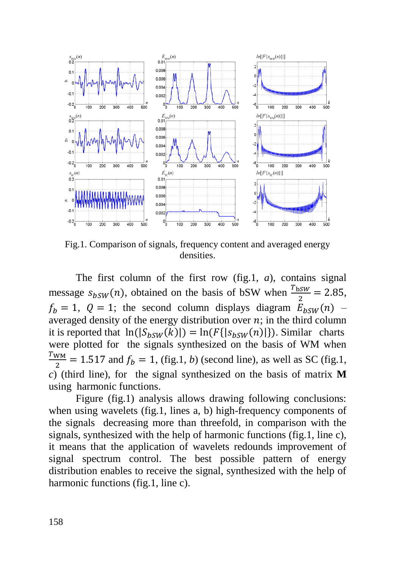

Fig.1. Comparison of signals, frequency content and averaged energy densities.

The first column of the first row (fig.1, *a*), contains signal message  $s_{bsW}(n)$ , obtained on the basis of bSW when  $\frac{T_{bsW}}{2} = 2.85$ ,  $f_b = 1$ ,  $Q = 1$ ; the second column displays diagram  $E_{b} g_W(n)$  – averaged density of the energy distribution over  $n$ ; in the third column it is reported that  $\ln(|S_{h}(\mathbf{x}_k)|) = \ln(F\{|S_{h}(\mathbf{x}_k(n))|\})$ . Similar charts were plotted for the signals synthesized on the basis of WM when  $T_{WM}$  $\frac{2M}{2}$  = 1.517 and  $f_b$  = 1, (fig.1, *b*) (second line), as well as SC (fig.1, *c*) (third line), for the signal synthesized on the basis of matrix **M** using harmonic functions.

Figure (fig.1) analysis allows drawing following conclusions: when using wavelets (fig.1, lines a, b) high-frequency components of the signals decreasing more than threefold, in comparison with the signals, synthesized with the help of harmonic functions (fig.1, line c), it means that the application of wavelets redounds improvement of signal spectrum control. The best possible pattern of energy distribution enables to receive the signal, synthesized with the help of harmonic functions (fig.1, line c).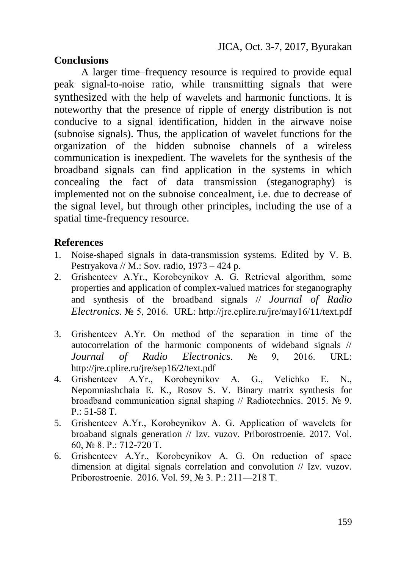# **Conclusions**

А larger time–frequency resource is required to provide equal peak signal-to-noise ratio, while transmitting signals that were synthesized with the help of wavelets and harmonic functions. It is noteworthy that the presence of ripple of energy distribution is not conducive to a signal identification, hidden in the airwave noise (subnoise signals). Thus, the application of wavelet functions for the organization of the hidden subnoise channels of a wireless communication is inexpedient. The wavelets for the synthesis of the broadband signals can find application in the systems in which concealing the fact of data transmission (steganography) is implemented not on the subnoise concealment, i.e. due to decrease of the signal level, but through other principles, including the use of a spatial time-frequency resource.

# **References**

- 1. Noise-shaped signals in data-transmission systems. Edited by V. B. Pestryakova // M.: Sov. radio, 1973 – 424 p.
- 2. Grishentcev А.Yr., Korobeynikov А. G. Retrieval algorithm, some properties and application of complex-valued matrices for steganography and synthesis of the broadband signals // *Journal of Radio Electronics*. № 5, 2016. URL: http://jre.cplire.ru/jre/may16/11/text.pdf
- 3. Grishentcev А.Yr. On method of the separation in time of the autocorrelation of the harmonic components of wideband signals // *Journal of Radio Electronics*. № 9, 2016. URL: http://jre.cplire.ru/jre/sep16/2/text.pdf
- 4. Grishentcev А.Yr., Korobeynikov А. G., Velichko E. N., Nepomniashchaia E. K., Rosov S. V. Binary matrix synthesis for broadband communication signal shaping // Radiotechnics. 2015. № 9. P.: 51-58 T.
- 5. Grishentcev А.Yr., Korobeynikov А. G. Application of wavelets for broaband signals generation // Izv. vuzov. Priborostroenie. 2017. Vol. 60, № 8. P.: 712-720 T.
- 6. Grishentcev А.Yr., Korobeynikov А. G. On reduction of space dimension at digital signals correlation and convolution // Izv. vuzov. Priborostroenie. 2016. Vol. 59, № 3. P.: 211—218 Т.